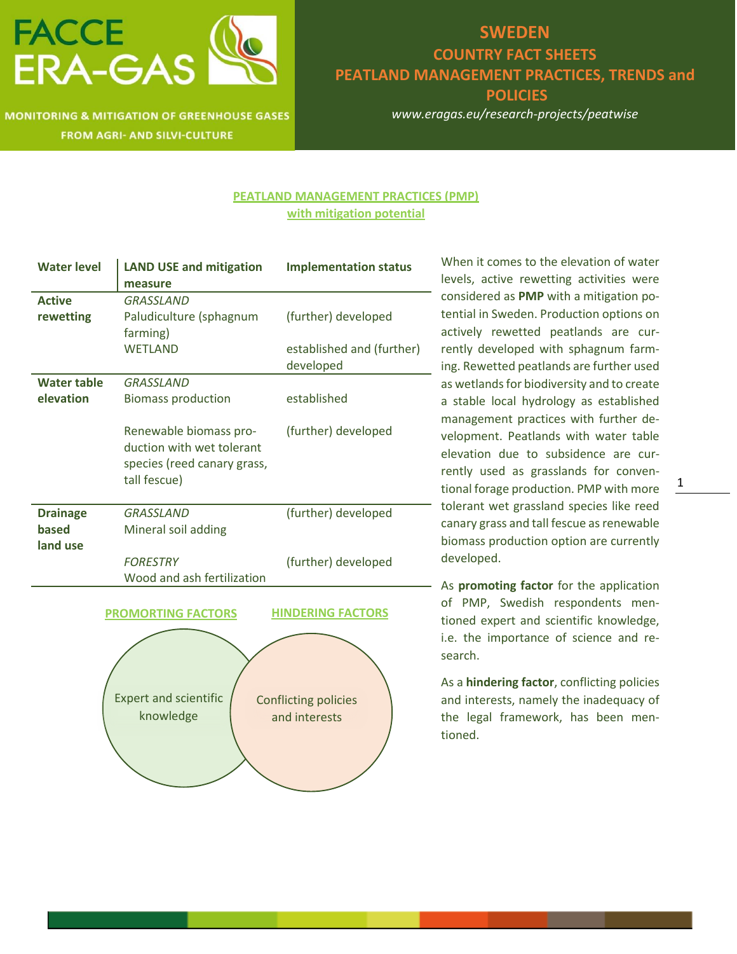

**MONITORING & MITIGATION OF GREENHOUSE GASES FROM AGRI- AND SILVI-CULTURE** 

### **SWEDEN COUNTRY FACT SHEETS PEATLAND MANAGEMENT PRACTICES, TRENDS and POLICIES**

*www.eragas.eu/research-projects/peatwise*

#### **PEATLAND MANAGEMENT PRACTICES (PMP) with mitigation potential**

| <b>Water level</b> | <b>LAND USE and mitigation</b> | <b>Implementation status</b> |
|--------------------|--------------------------------|------------------------------|
|                    | measure                        |                              |
| <b>Active</b>      | <b>GRASSLAND</b>               |                              |
| rewetting          | Paludiculture (sphagnum        | (further) developed          |
|                    | farming)                       |                              |
|                    | <b>WETLAND</b>                 | established and (further)    |
|                    |                                | developed                    |
| <b>Water table</b> | <b>GRASSLAND</b>               |                              |
| elevation          | <b>Biomass production</b>      | established                  |
|                    |                                |                              |
|                    | Renewable biomass pro-         | (further) developed          |
|                    | duction with wet tolerant      |                              |
|                    | species (reed canary grass,    |                              |
|                    | tall fescue)                   |                              |
|                    |                                |                              |
| <b>Drainage</b>    | <b>GRASSLAND</b>               | (further) developed          |
| based              | Mineral soil adding            |                              |
| land use           |                                |                              |
|                    | <b>FORESTRY</b>                | (further) developed          |
|                    | Wood and ash fertilization     |                              |
|                    |                                |                              |
|                    | <b>PROMORTING FACTORS</b>      | <b>HINDERING FACTORS</b>     |
|                    |                                |                              |
|                    |                                |                              |
|                    |                                |                              |
|                    |                                |                              |
|                    | <b>Expert and scientific</b>   | <b>Conflicting policies</b>  |
|                    | knowledge                      | and interests                |
|                    |                                |                              |
|                    |                                |                              |
|                    |                                |                              |

When it comes to the elevation of water levels, active rewetting activities were considered as **PMP** with a mitigation potential in Sweden. Production options on actively rewetted peatlands are currently developed with sphagnum farming. Rewetted peatlands are further used as wetlands for biodiversity and to create a stable local hydrology as established management practices with further development. Peatlands with water table elevation due to subsidence are currently used as grasslands for conventional forage production. PMP with more tolerant wet grassland species like reed canary grass and tall fescue as renewable biomass production option are currently developed.

As **promoting factor** for the application of PMP, Swedish respondents mentioned expert and scientific knowledge, i.e. the importance of science and research.

As a **hindering factor**, conflicting policies and interests, namely the inadequacy of the legal framework, has been mentioned.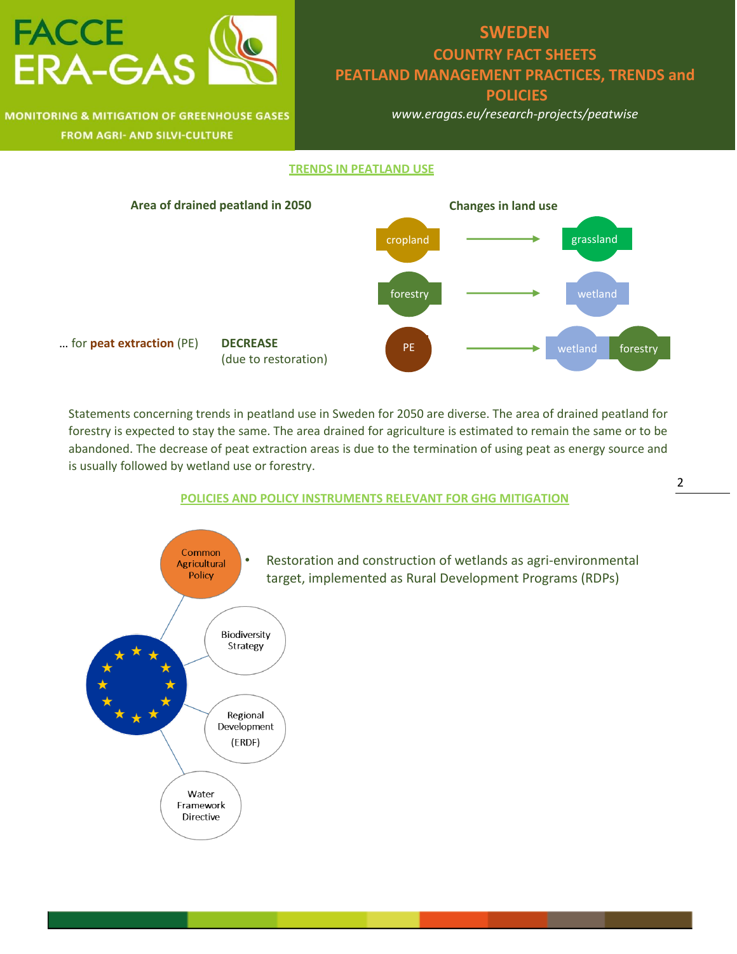

### **MONITORING & MITIGATION OF GREENHOUSE GASES FROM AGRI- AND SILVI-CULTURE**

## **SWEDEN COUNTRY FACT SHEETS PEATLAND MANAGEMENT PRACTICES, TRENDS and POLICIES**

*www.eragas.eu/research-projects/peatwise*

#### **TRENDS IN PEATLAND USE**



Statements concerning trends in peatland use in Sweden for 2050 are diverse. The area of drained peatland for forestry is expected to stay the same. The area drained for agriculture is estimated to remain the same or to be abandoned. The decrease of peat extraction areas is due to the termination of using peat as energy source and is usually followed by wetland use or forestry.

#### **POLICIES AND POLICY INSTRUMENTS RELEVANT FOR GHG MITIGATION**